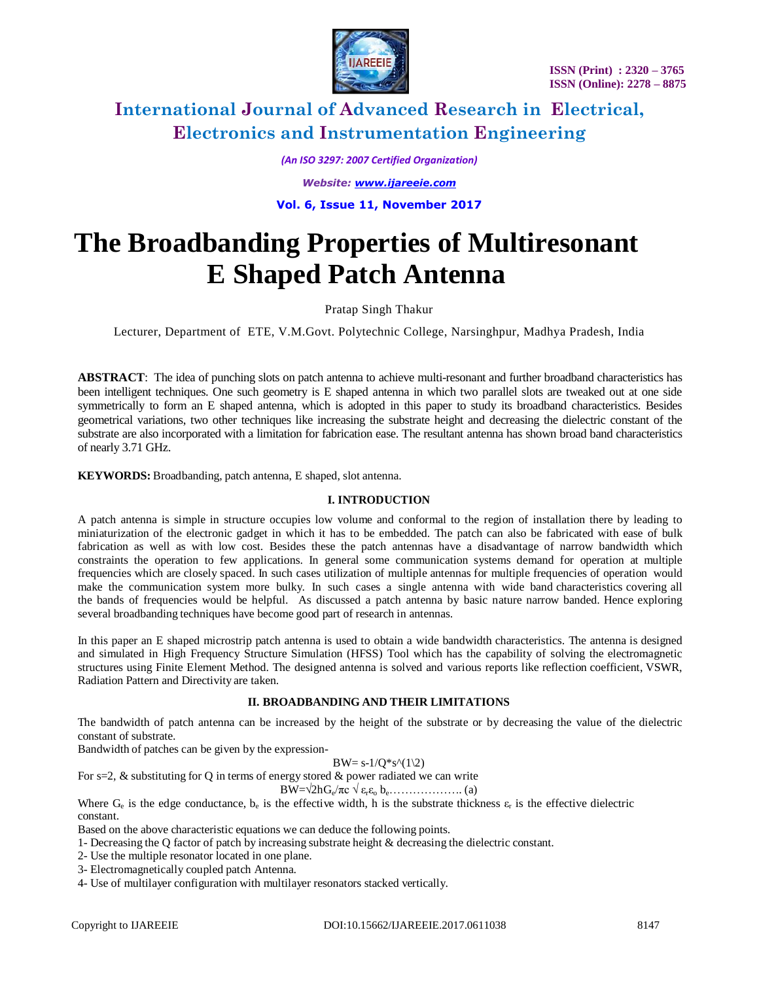

*(An ISO 3297: 2007 Certified Organization) Website: [www.ijareeie.com](http://www.ijareeie.com/)* **Vol. 6, Issue 11, November 2017**

# **The Broadbanding Properties of Multiresonant E Shaped Patch Antenna**

Pratap Singh Thakur

Lecturer, Department of ETE, V.M.Govt. Polytechnic College, Narsinghpur, Madhya Pradesh, India

**ABSTRACT**: The idea of punching slots on patch antenna to achieve multi-resonant and further broadband characteristics has been intelligent techniques. One such geometry is E shaped antenna in which two parallel slots are tweaked out at one side symmetrically to form an E shaped antenna, which is adopted in this paper to study its broadband characteristics. Besides geometrical variations, two other techniques like increasing the substrate height and decreasing the dielectric constant of the substrate are also incorporated with a limitation for fabrication ease. The resultant antenna has shown broad band characteristics of nearly 3.71 GHz.

**KEYWORDS:** Broadbanding, patch antenna, E shaped, slot antenna.

### **I. INTRODUCTION**

A patch antenna is simple in structure occupies low volume and conformal to the region of installation there by leading to miniaturization of the electronic gadget in which it has to be embedded. The patch can also be fabricated with ease of bulk fabrication as well as with low cost. Besides these the patch antennas have a disadvantage of narrow bandwidth which constraints the operation to few applications. In general some communication systems demand for operation at multiple frequencies which are closely spaced. In such cases utilization of multiple antennas for multiple frequencies of operation would make the communication system more bulky. In such cases a single antenna with wide band characteristics covering all the bands of frequencies would be helpful. As discussed a patch antenna by basic nature narrow banded. Hence exploring several broadbanding techniques have become good part of research in antennas.

In this paper an E shaped microstrip patch antenna is used to obtain a wide bandwidth characteristics. The antenna is designed and simulated in High Frequency Structure Simulation (HFSS) Tool which has the capability of solving the electromagnetic structures using Finite Element Method. The designed antenna is solved and various reports like reflection coefficient, VSWR, Radiation Pattern and Directivity are taken.

### **II. BROADBANDING AND THEIR LIMITATIONS**

The bandwidth of patch antenna can be increased by the height of the substrate or by decreasing the value of the dielectric constant of substrate.

Bandwidth of patches can be given by the expression-

#### $BW = s-1/O * s^(1\2)$

For  $s=2$ ,  $\&$  substituting for Q in terms of energy stored  $\&$  power radiated we can write

 $BW = \sqrt{2h} G_e/\pi c \sqrt{\varepsilon_r \varepsilon_o} b_e \dots \dots \dots \dots \dots \dots$  (a)

Where  $G_e$  is the edge conductance,  $b_e$  is the effective width, h is the substrate thickness  $\varepsilon_r$  is the effective dielectric constant.

Based on the above characteristic equations we can deduce the following points.

- 1- Decreasing the Q factor of patch by increasing substrate height & decreasing the dielectric constant.
- 2- Use the multiple resonator located in one plane.
- 3- Electromagnetically coupled patch Antenna.
- 4- Use of multilayer configuration with multilayer resonators stacked vertically.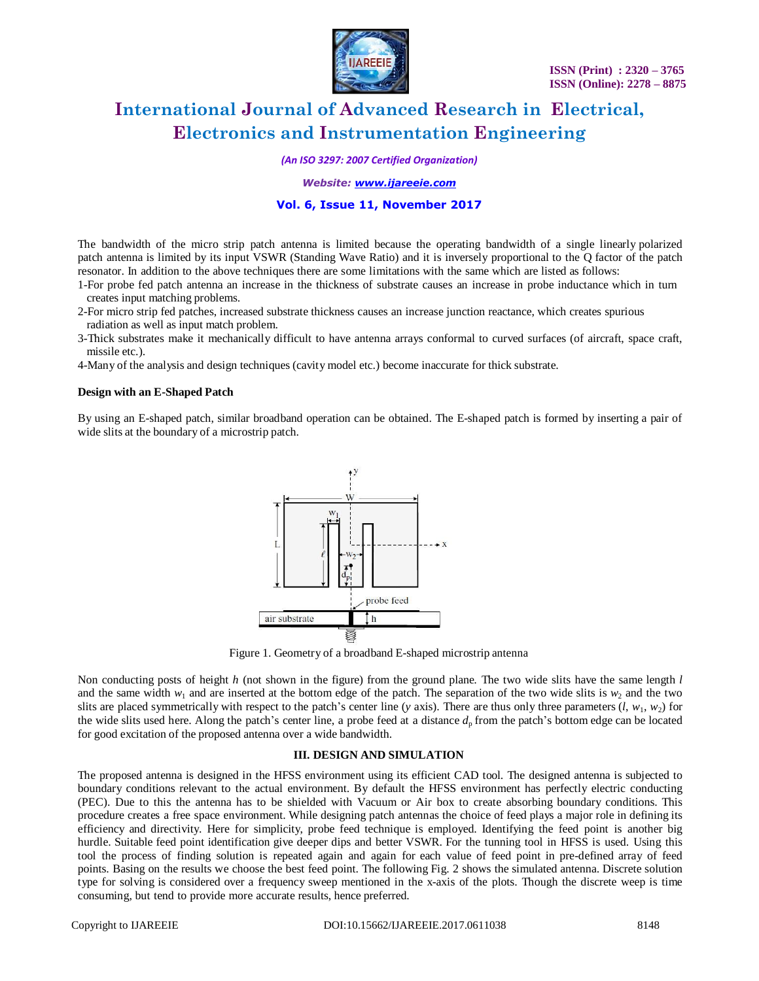

*(An ISO 3297: 2007 Certified Organization)*

*Website: [www.ijareeie.com](http://www.ijareeie.com/)*

### **Vol. 6, Issue 11, November 2017**

The bandwidth of the micro strip patch antenna is limited because the operating bandwidth of a single linearly polarized patch antenna is limited by its input VSWR (Standing Wave Ratio) and it is inversely proportional to the Q factor of the patch resonator. In addition to the above techniques there are some limitations with the same which are listed as follows:

- 1-For probe fed patch antenna an increase in the thickness of substrate causes an increase in probe inductance which in turn creates input matching problems.
- 2-For micro strip fed patches, increased substrate thickness causes an increase junction reactance, which creates spurious radiation as well as input match problem.
- 3-Thick substrates make it mechanically difficult to have antenna arrays conformal to curved surfaces (of aircraft, space craft, missile etc.).
- 4-Many of the analysis and design techniques (cavity model etc.) become inaccurate for thick substrate.

#### **Design with an E-Shaped Patch**

By using an E-shaped patch, similar broadband operation can be obtained. The E-shaped patch is formed by inserting a pair of wide slits at the boundary of a microstrip patch.



Figure 1. Geometry of a broadband E-shaped microstrip antenna

Non conducting posts of height *h* (not shown in the figure) from the ground plane. The two wide slits have the same length *l* and the same width  $w_1$  and are inserted at the bottom edge of the patch. The separation of the two wide slits is  $w_2$  and the two slits are placed symmetrically with respect to the patch's center line (*y* axis). There are thus only three parameters  $(l, w_1, w_2)$  for the wide slits used here. Along the patch's center line, a probe feed at a distance  $d_p$  from the patch's bottom edge can be located for good excitation of the proposed antenna over a wide bandwidth.

### **III. DESIGN AND SIMULATION**

The proposed antenna is designed in the HFSS environment using its efficient CAD tool. The designed antenna is subjected to boundary conditions relevant to the actual environment. By default the HFSS environment has perfectly electric conducting (PEC). Due to this the antenna has to be shielded with Vacuum or Air box to create absorbing boundary conditions. This procedure creates a free space environment. While designing patch antennas the choice of feed plays a major role in defining its efficiency and directivity. Here for simplicity, probe feed technique is employed. Identifying the feed point is another big hurdle. Suitable feed point identification give deeper dips and better VSWR. For the tunning tool in HFSS is used. Using this tool the process of finding solution is repeated again and again for each value of feed point in pre-defined array of feed points. Basing on the results we choose the best feed point. The following Fig. 2 shows the simulated antenna. Discrete solution type for solving is considered over a frequency sweep mentioned in the x-axis of the plots. Though the discrete weep is time consuming, but tend to provide more accurate results, hence preferred.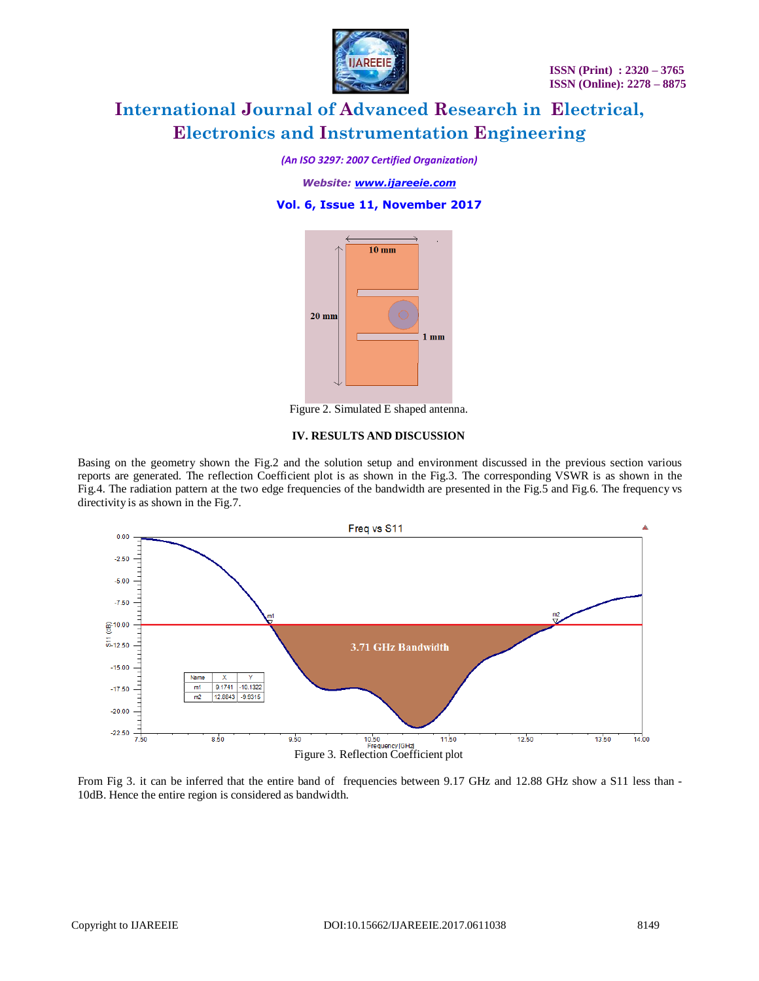

*(An ISO 3297: 2007 Certified Organization)*

*Website: [www.ijareeie.com](http://www.ijareeie.com/)*

**Vol. 6, Issue 11, November 2017**



Figure 2. Simulated E shaped antenna.

#### **IV. RESULTS AND DISCUSSION**

Basing on the geometry shown the Fig.2 and the solution setup and environment discussed in the previous section various reports are generated. The reflection Coefficient plot is as shown in the Fig.3. The corresponding VSWR is as shown in the Fig.4. The radiation pattern at the two edge frequencies of the bandwidth are presented in the Fig.5 and Fig.6. The frequency vs directivity is as shown in the Fig.7.



From Fig 3. it can be inferred that the entire band of frequencies between 9.17 GHz and 12.88 GHz show a S11 less than -10dB. Hence the entire region is considered as bandwidth.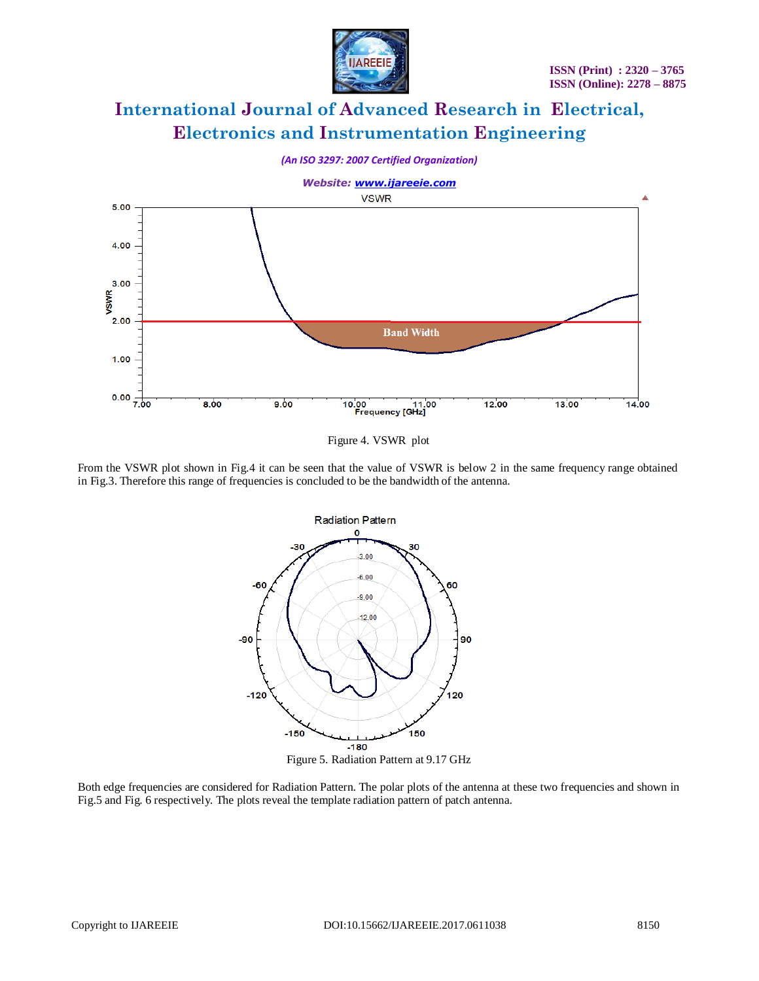



Figure 4. VSWR plot

From the VSWR plot shown in Fig.4 it can be seen that the value of VSWR is below 2 in the same frequency range obtained in Fig.3. Therefore this range of frequencies is concluded to be the bandwidth of the antenna.



Figure 5. Radiation Pattern at 9.17 GHz

Both edge frequencies are considered for Radiation Pattern. The polar plots of the antenna at these two frequencies and shown in Fig.5 and Fig. 6 respectively. The plots reveal the template radiation pattern of patch antenna.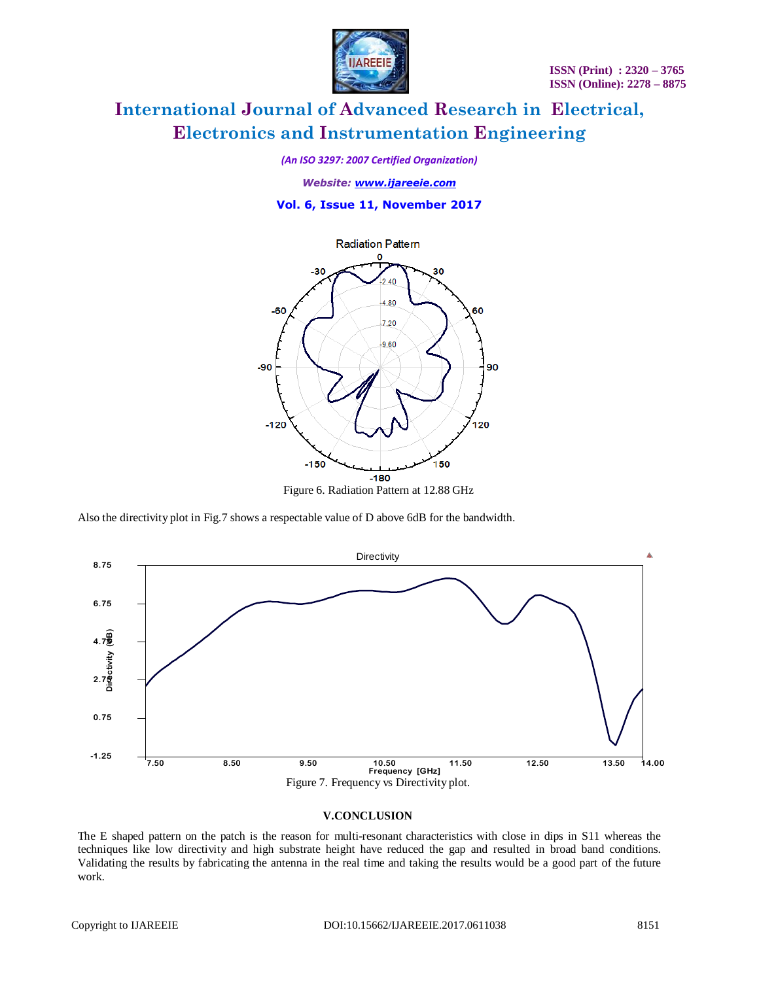**ISSN (Print) : 2320 – 3765 ISSN (Online): 2278 – 8875**



# **International Journal of Advanced Research in Electrical, Electronics and Instrumentation Engineering**

*(An ISO 3297: 2007 Certified Organization)*

*Website: [www.ijareeie.com](http://www.ijareeie.com/)*

**Vol. 6, Issue 11, November 2017**



Also the directivity plot in Fig.7 shows a respectable value of D above 6dB for the bandwidth.



#### **V.CONCLUSION**

The E shaped pattern on the patch is the reason for multi-resonant characteristics with close in dips in S11 whereas the techniques like low directivity and high substrate height have reduced the gap and resulted in broad band conditions. Validating the results by fabricating the antenna in the real time and taking the results would be a good part of the future work.